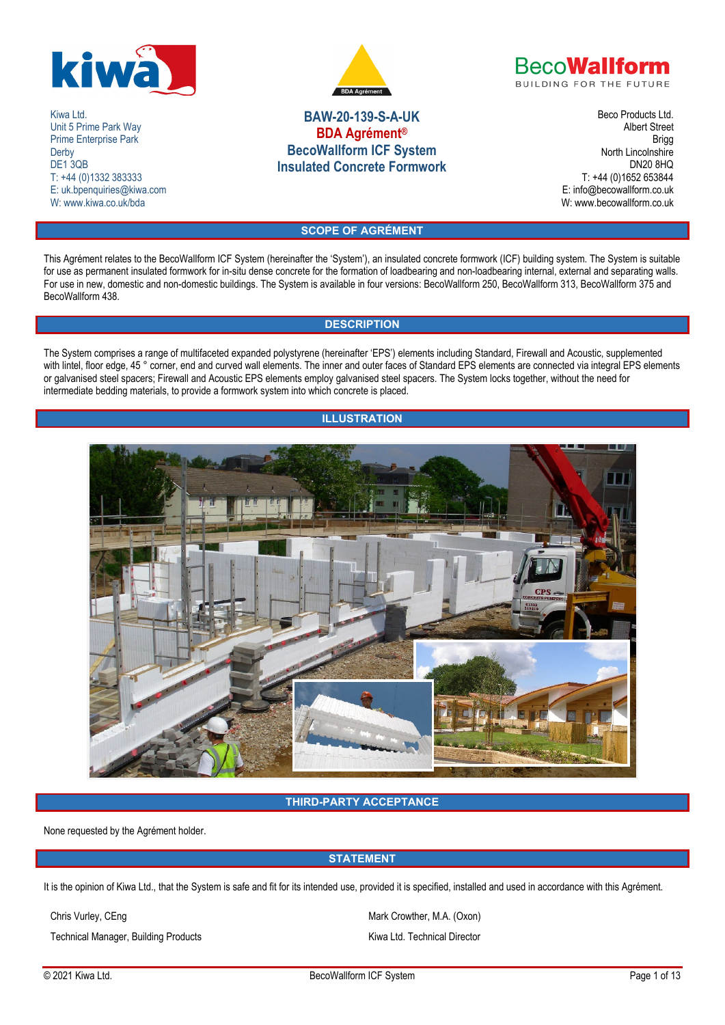

Kiwa Ltd. Unit 5 Prime Park Way Prime Enterprise Park **Derby** DE1 3QB T: +44 (0)1332 383333 E: uk.bpenquiries@kiwa.com W: www.kiwa.co.uk/bda



# **BAW-20-139-S-A-UK BDA Agrément® BecoWallform ICF System Insulated Concrete Formwork**

**BecoWallform BUILDING FOR THE FUTURE** 

> Beco Products Ltd. Albert Street Brigg North Lincolnshire DN20 8HQ T: +44 (0)1652 653844 E: info@becowallform.co.uk W: www.becowallform.co.uk

# **SCOPE OF AGRÉMENT**

This Agrément relates to the BecoWallform ICF System (hereinafter the 'System'), an insulated concrete formwork (ICF) building system. The System is suitable for use as permanent insulated formwork for in-situ dense concrete for the formation of loadbearing and non-loadbearing internal, external and separating walls. For use in new, domestic and non-domestic buildings. The System is available in four versions: BecoWallform 250, BecoWallform 313, BecoWallform 375 and BecoWallform 438.

## **DESCRIPTION**

The System comprises a range of multifaceted expanded polystyrene (hereinafter 'EPS') elements including Standard, Firewall and Acoustic, supplemented with lintel, floor edge, 45 ° corner, end and curved wall elements. The inner and outer faces of Standard EPS elements are connected via integral EPS elements or galvanised steel spacers; Firewall and Acoustic EPS elements employ galvanised steel spacers. The System locks together, without the need for intermediate bedding materials, to provide a formwork system into which concrete is placed.

## **ILLUSTRATION**



## **THIRD-PARTY ACCEPTANCE**

None requested by the Agrément holder.

## **STATEMENT**

It is the opinion of Kiwa Ltd., that the System is safe and fit for its intended use, provided it is specified, installed and used in accordance with this Agrément.

Technical Manager, Building Products **Kiwa Ltd. Technical Director** Kiwa Ltd. Technical Director

Chris Vurley, CEng Mark Crowther, M.A. (Oxon)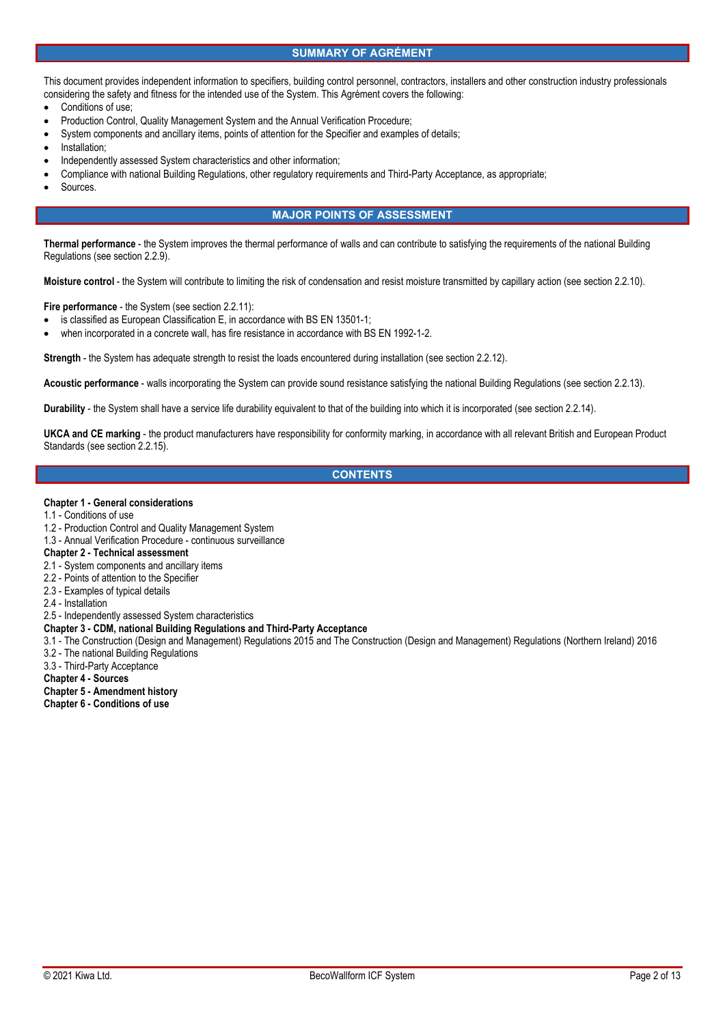## **SUMMARY OF AGRÉMENT**

This document provides independent information to specifiers, building control personnel, contractors, installers and other construction industry professionals considering the safety and fitness for the intended use of the System. This Agrément covers the following:

- Conditions of use;
- Production Control, Quality Management System and the Annual Verification Procedure;
- System components and ancillary items, points of attention for the Specifier and examples of details;
- Installation;
- Independently assessed System characteristics and other information;
- Compliance with national Building Regulations, other regulatory requirements and Third-Party Acceptance, as appropriate;
- Sources.

## **MAJOR POINTS OF ASSESSMENT**

**Thermal performance** - the System improves the thermal performance of walls and can contribute to satisfying the requirements of the national Building Regulations (see section 2.2.9).

**Moisture control** - the System will contribute to limiting the risk of condensation and resist moisture transmitted by capillary action (see section 2.2.10).

**Fire performance** - the System (see section 2.2.11):

- is classified as European Classification E, in accordance with BS EN 13501-1;
- when incorporated in a concrete wall, has fire resistance in accordance with BS EN 1992-1-2.

**Strength** - the System has adequate strength to resist the loads encountered during installation (see section 2.2.12).

**Acoustic performance** - walls incorporating the System can provide sound resistance satisfying the national Building Regulations (see section 2.2.13).

**Durability** - the System shall have a service life durability equivalent to that of the building into which it is incorporated (see section 2.2.14).

**UKCA and CE marking** - the product manufacturers have responsibility for conformity marking, in accordance with all relevant British and European Product Standards (see section 2.2.15).

## **CONTENTS**

#### **Chapter 1 - General considerations**

1.1 - Conditions of use

- 1.2 Production Control and Quality Management System
- 1.3 Annual Verification Procedure continuous surveillance

## **Chapter 2 - Technical assessment**

- 2.1 System components and ancillary items
- 2.2 Points of attention to the Specifier
- 2.3 Examples of typical details
- 2.4 Installation
- 2.5 Independently assessed System characteristics

#### **Chapter 3 - CDM, national Building Regulations and Third-Party Acceptance**

- 3.1 The Construction (Design and Management) Regulations 2015 and The Construction (Design and Management) Regulations (Northern Ireland) 2016
- 3.2 The national Building Regulations
- 3.3 Third-Party Acceptance

**Chapter 4 - Sources** 

# **Chapter 5 - Amendment history**

**Chapter 6 - Conditions of use**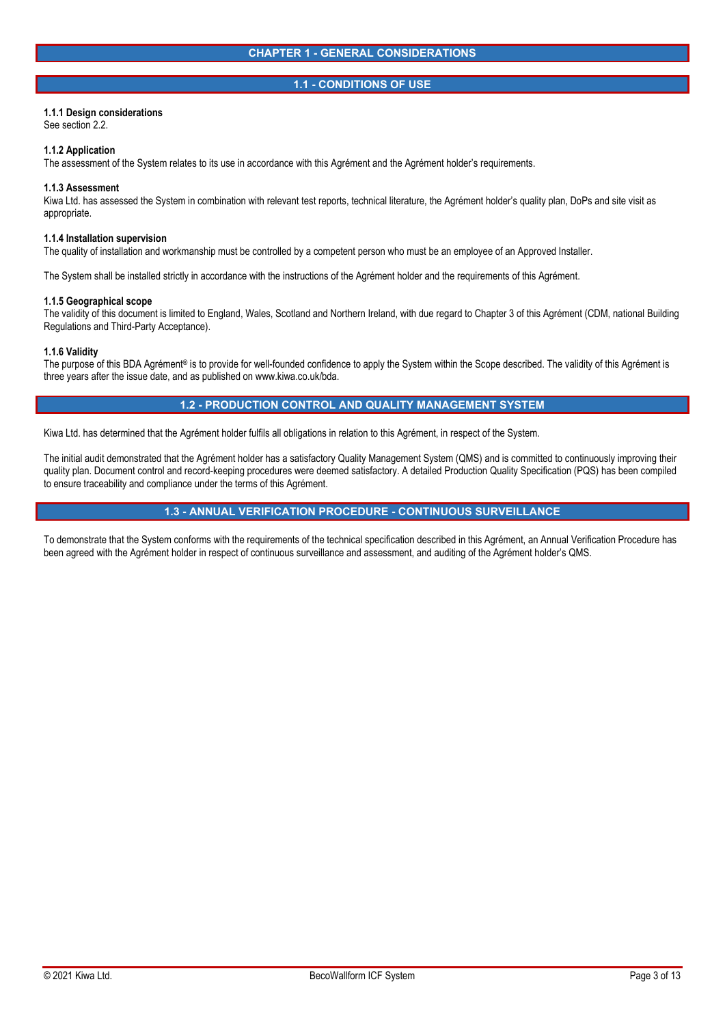### **1.1 - CONDITIONS OF USE**

### **1.1.1 Design considerations**

See section 2.2.

#### **1.1.2 Application**

The assessment of the System relates to its use in accordance with this Agrément and the Agrément holder's requirements.

#### **1.1.3 Assessment**

Kiwa Ltd. has assessed the System in combination with relevant test reports, technical literature, the Agrément holder's quality plan, DoPs and site visit as appropriate.

#### **1.1.4 Installation supervision**

The quality of installation and workmanship must be controlled by a competent person who must be an employee of an Approved Installer.

The System shall be installed strictly in accordance with the instructions of the Agrément holder and the requirements of this Agrément.

#### **1.1.5 Geographical scope**

The validity of this document is limited to England, Wales, Scotland and Northern Ireland, with due regard to Chapter 3 of this Agrément (CDM, national Building Regulations and Third-Party Acceptance).

#### **1.1.6 Validity**

The purpose of this BDA Agrément® is to provide for well-founded confidence to apply the System within the Scope described. The validity of this Agrément is three years after the issue date, and as published on www.kiwa.co.uk/bda.

## **1.2 - PRODUCTION CONTROL AND QUALITY MANAGEMENT SYSTEM**

Kiwa Ltd. has determined that the Agrément holder fulfils all obligations in relation to this Agrément, in respect of the System.

The initial audit demonstrated that the Agrément holder has a satisfactory Quality Management System (QMS) and is committed to continuously improving their quality plan. Document control and record-keeping procedures were deemed satisfactory. A detailed Production Quality Specification (PQS) has been compiled to ensure traceability and compliance under the terms of this Agrément.

## **1.3 - ANNUAL VERIFICATION PROCEDURE - CONTINUOUS SURVEILLANCE**

To demonstrate that the System conforms with the requirements of the technical specification described in this Agrément, an Annual Verification Procedure has been agreed with the Agrément holder in respect of continuous surveillance and assessment, and auditing of the Agrément holder's QMS.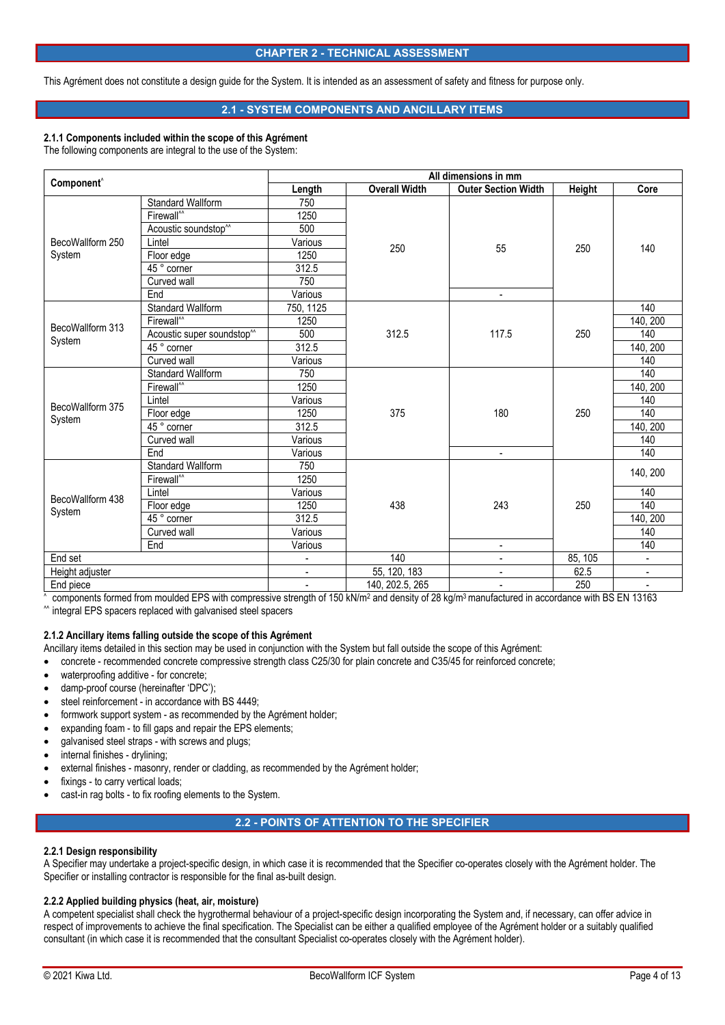### **CHAPTER 2 - TECHNICAL ASSESSMENT**

This Agrément does not constitute a design guide for the System. It is intended as an assessment of safety and fitness for purpose only.

## **2.1 - SYSTEM COMPONENTS AND ANCILLARY ITEMS**

### **2.1.1 Components included within the scope of this Agrément**

The following components are integral to the use of the System:

|                            |                                        | All dimensions in mm |                      |                            |         |                          |  |
|----------------------------|----------------------------------------|----------------------|----------------------|----------------------------|---------|--------------------------|--|
| Component <sup>^</sup>     |                                        | Length               | <b>Overall Width</b> | <b>Outer Section Width</b> | Height  | Core                     |  |
|                            | <b>Standard Wallform</b>               | 750                  |                      |                            |         |                          |  |
|                            | Firewall <sup>^^</sup>                 | 1250                 |                      |                            | 250     |                          |  |
|                            | Acoustic soundstop <sup>^^</sup>       | 500                  |                      |                            |         |                          |  |
| BecoWallform 250           | Lintel                                 | Various              |                      | 55                         |         | 140                      |  |
| System                     | Floor edge                             | 1250                 | 250                  |                            |         |                          |  |
|                            | $\overline{45\degree}$ corner          | 312.5                |                      |                            |         |                          |  |
|                            | Curved wall                            | 750                  |                      |                            |         |                          |  |
|                            | End                                    | Various              |                      | ۰                          |         |                          |  |
|                            | <b>Standard Wallform</b>               | 750, 1125            |                      |                            | 250     | 140                      |  |
|                            | Firewall <sup>"</sup>                  | 1250                 |                      |                            |         | 140, 200                 |  |
| BecoWallform 313<br>System | Acoustic super soundstop <sup>^^</sup> | 500                  | 312.5                | 117.5                      |         | 140                      |  |
|                            | 45 ° corner                            | 312.5                |                      |                            |         | 140, 200                 |  |
|                            | Curved wall                            | Various              |                      |                            |         | 140                      |  |
|                            | Standard Wallform                      | 750                  |                      | 180                        | 250     | 140                      |  |
|                            | Firewall <sup>^^</sup>                 | 1250                 |                      |                            |         | 140, 200                 |  |
| BecoWallform 375           | Lintel                                 | Various              |                      |                            |         | 140                      |  |
|                            | Floor edge                             | 1250                 | 375                  |                            |         | 140                      |  |
| System                     | $45°$ corner                           | 312.5                |                      |                            |         | 140, 200                 |  |
|                            | Curved wall                            | Various              |                      |                            |         | 140                      |  |
|                            | End                                    | Various              |                      | ÷                          |         | 140                      |  |
|                            | <b>Standard Wallform</b>               | 750                  |                      |                            | 250     | 140, 200                 |  |
|                            | Firewall <sup>M</sup>                  | 1250                 |                      |                            |         |                          |  |
| BecoWallform 438<br>System | Lintel                                 | Various              | 438                  | 243                        |         | 140                      |  |
|                            | Floor edge                             | 1250                 |                      |                            |         | 140                      |  |
|                            | $45°$ corner                           | 312.5                |                      |                            |         | 140, 200                 |  |
|                            | Curved wall                            | Various              |                      |                            |         | 140                      |  |
|                            | End                                    | Various              |                      | ÷.                         |         | 140                      |  |
| End set                    |                                        |                      | 140                  | ÷                          | 85, 105 |                          |  |
| Height adjuster            |                                        | $\blacksquare$       | 55, 120, 183         | $\overline{\phantom{0}}$   | 62.5    | $\overline{\phantom{a}}$ |  |
| End piece                  |                                        |                      | 140, 202.5, 265      | $\overline{a}$             | 250     | $\overline{\phantom{a}}$ |  |

 $\frac{1}{\lambda}$ omponents formed from moulded EPS with compressive strength of 150 kN/m<sup>2</sup> and density of 28 kg/m<sup>3</sup> manufactured in accordance with BS EN 13163 ^^ integral EPS spacers replaced with galvanised steel spacers

### **2.1.2 Ancillary items falling outside the scope of this Agrément**

Ancillary items detailed in this section may be used in conjunction with the System but fall outside the scope of this Agrément:

- concrete recommended concrete compressive strength class C25/30 for plain concrete and C35/45 for reinforced concrete;
- waterproofing additive for concrete;
- damp-proof course (hereinafter 'DPC');
- steel reinforcement in accordance with BS 4449;
- formwork support system as recommended by the Agrément holder:
- expanding foam to fill gaps and repair the EPS elements;
- galvanised steel straps with screws and plugs;
- internal finishes drylining;
- external finishes masonry, render or cladding, as recommended by the Agrément holder;
- fixings to carry vertical loads;
- cast-in rag bolts to fix roofing elements to the System.

## **2.2 - POINTS OF ATTENTION TO THE SPECIFIER**

### **2.2.1 Design responsibility**

A Specifier may undertake a project-specific design, in which case it is recommended that the Specifier co-operates closely with the Agrément holder. The Specifier or installing contractor is responsible for the final as-built design.

#### **2.2.2 Applied building physics (heat, air, moisture)**

A competent specialist shall check the hygrothermal behaviour of a project-specific design incorporating the System and, if necessary, can offer advice in respect of improvements to achieve the final specification. The Specialist can be either a qualified employee of the Agrément holder or a suitably qualified consultant (in which case it is recommended that the consultant Specialist co-operates closely with the Agrément holder).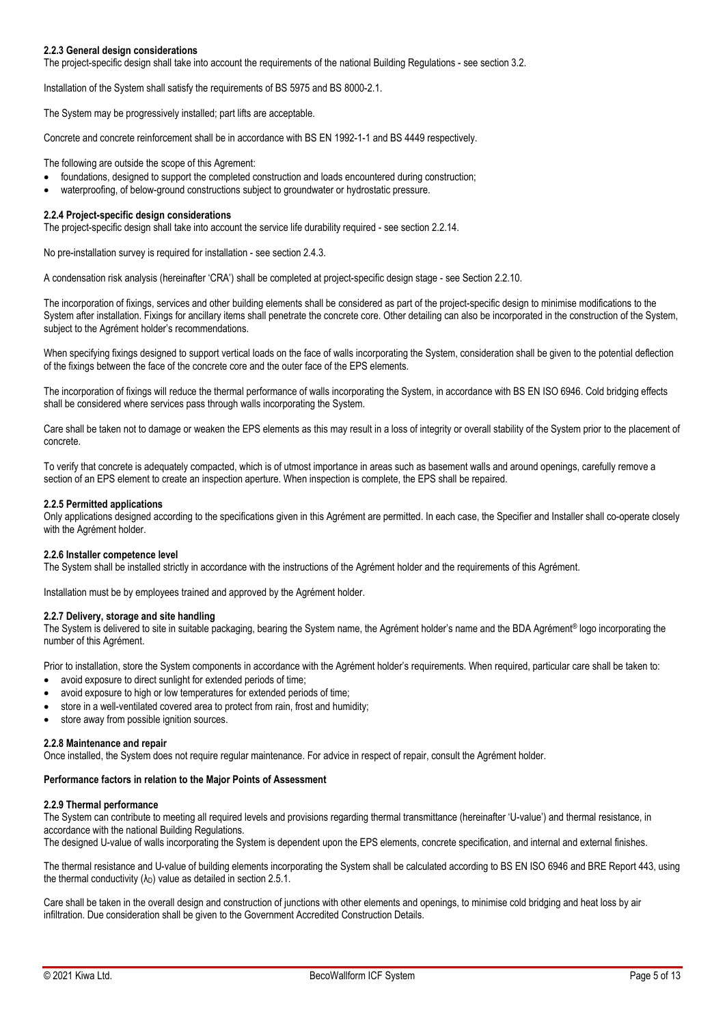### **2.2.3 General design considerations**

The project-specific design shall take into account the requirements of the national Building Regulations - see section 3.2.

Installation of the System shall satisfy the requirements of BS 5975 and BS 8000-2.1.

The System may be progressively installed; part lifts are acceptable.

Concrete and concrete reinforcement shall be in accordance with BS EN 1992-1-1 and BS 4449 respectively.

The following are outside the scope of this Agrement:

- foundations, designed to support the completed construction and loads encountered during construction;
- waterproofing, of below-ground constructions subject to groundwater or hydrostatic pressure.

#### **2.2.4 Project-specific design considerations**

The project-specific design shall take into account the service life durability required - see section 2.2.14.

No pre-installation survey is required for installation - see section 2.4.3.

A condensation risk analysis (hereinafter 'CRA') shall be completed at project-specific design stage - see Section 2.2.10.

The incorporation of fixings, services and other building elements shall be considered as part of the project-specific design to minimise modifications to the System after installation. Fixings for ancillary items shall penetrate the concrete core. Other detailing can also be incorporated in the construction of the System, subject to the Agrément holder's recommendations.

When specifying fixings designed to support vertical loads on the face of walls incorporating the System, consideration shall be given to the potential deflection of the fixings between the face of the concrete core and the outer face of the EPS elements.

The incorporation of fixings will reduce the thermal performance of walls incorporating the System, in accordance with BS EN ISO 6946. Cold bridging effects shall be considered where services pass through walls incorporating the System.

Care shall be taken not to damage or weaken the EPS elements as this may result in a loss of integrity or overall stability of the System prior to the placement of concrete.

To verify that concrete is adequately compacted, which is of utmost importance in areas such as basement walls and around openings, carefully remove a section of an EPS element to create an inspection aperture. When inspection is complete, the EPS shall be repaired.

#### **2.2.5 Permitted applications**

Only applications designed according to the specifications given in this Agrément are permitted. In each case, the Specifier and Installer shall co-operate closely with the Agrément holder.

#### **2.2.6 Installer competence level**

The System shall be installed strictly in accordance with the instructions of the Agrément holder and the requirements of this Agrément.

Installation must be by employees trained and approved by the Agrément holder.

#### **2.2.7 Delivery, storage and site handling**

The System is delivered to site in suitable packaging, bearing the System name, the Agrément holder's name and the BDA Agrément® logo incorporating the number of this Agrément.

Prior to installation, store the System components in accordance with the Agrément holder's requirements. When required, particular care shall be taken to:

- avoid exposure to direct sunlight for extended periods of time;
- avoid exposure to high or low temperatures for extended periods of time;
- store in a well-ventilated covered area to protect from rain, frost and humidity;
- store away from possible ignition sources.

#### **2.2.8 Maintenance and repair**

Once installed, the System does not require regular maintenance. For advice in respect of repair, consult the Agrément holder.

#### **Performance factors in relation to the Major Points of Assessment**

#### **2.2.9 Thermal performance**

The System can contribute to meeting all required levels and provisions regarding thermal transmittance (hereinafter 'U-value') and thermal resistance, in accordance with the national Building Regulations.

The designed U-value of walls incorporating the System is dependent upon the EPS elements, concrete specification, and internal and external finishes.

The thermal resistance and U-value of building elements incorporating the System shall be calculated according to BS EN ISO 6946 and BRE Report 443, using the thermal conductivity  $(λ<sub>D</sub>)$  value as detailed in section 2.5.1.

Care shall be taken in the overall design and construction of junctions with other elements and openings, to minimise cold bridging and heat loss by air infiltration. Due consideration shall be given to the Government Accredited Construction Details.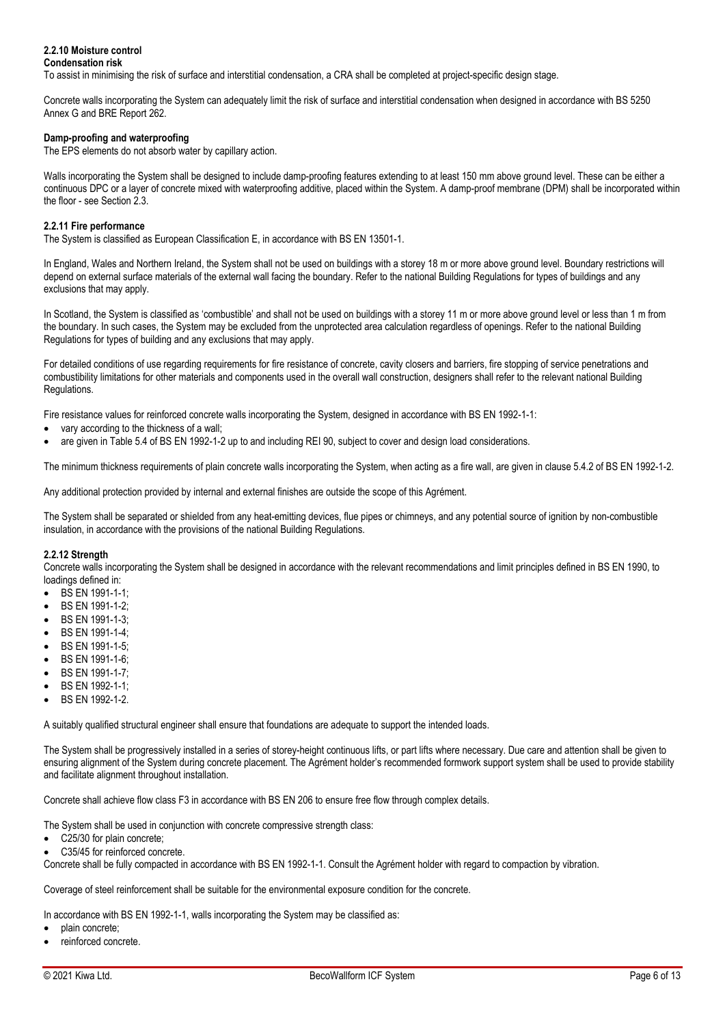#### **2.2.10 Moisture control Condensation risk**

To assist in minimising the risk of surface and interstitial condensation, a CRA shall be completed at project-specific design stage.

Concrete walls incorporating the System can adequately limit the risk of surface and interstitial condensation when designed in accordance with BS 5250 Annex G and BRE Report 262.

## **Damp-proofing and waterproofing**

The EPS elements do not absorb water by capillary action.

Walls incorporating the System shall be designed to include damp-proofing features extending to at least 150 mm above ground level. These can be either a continuous DPC or a layer of concrete mixed with waterproofing additive, placed within the System. A damp-proof membrane (DPM) shall be incorporated within the floor - see Section 2.3.

### **2.2.11 Fire performance**

The System is classified as European Classification E, in accordance with BS EN 13501-1.

In England, Wales and Northern Ireland, the System shall not be used on buildings with a storey 18 m or more above ground level. Boundary restrictions will depend on external surface materials of the external wall facing the boundary. Refer to the national Building Regulations for types of buildings and any exclusions that may apply.

In Scotland, the System is classified as 'combustible' and shall not be used on buildings with a storey 11 m or more above ground level or less than 1 m from the boundary. In such cases, the System may be excluded from the unprotected area calculation regardless of openings. Refer to the national Building Regulations for types of building and any exclusions that may apply.

For detailed conditions of use regarding requirements for fire resistance of concrete, cavity closers and barriers, fire stopping of service penetrations and combustibility limitations for other materials and components used in the overall wall construction, designers shall refer to the relevant national Building Regulations.

Fire resistance values for reinforced concrete walls incorporating the System, designed in accordance with BS EN 1992-1-1:

- vary according to the thickness of a wall;
- are given in Table 5.4 of BS EN 1992-1-2 up to and including REI 90, subject to cover and design load considerations.

The minimum thickness requirements of plain concrete walls incorporating the System, when acting as a fire wall, are given in clause 5.4.2 of BS EN 1992-1-2.

Any additional protection provided by internal and external finishes are outside the scope of this Agrément.

The System shall be separated or shielded from any heat-emitting devices, flue pipes or chimneys, and any potential source of ignition by non-combustible insulation, in accordance with the provisions of the national Building Regulations.

#### **2.2.12 Strength**

Concrete walls incorporating the System shall be designed in accordance with the relevant recommendations and limit principles defined in BS EN 1990, to loadings defined in:

- BS EN 1991-1-1;
- BS EN 1991-1-2;
- BS EN 1991-1-3;
- BS EN 1991-1-4;
- BS EN 1991-1-5;
- BS EN 1991-1-6; BS EN 1991-1-7;
- BS EN 1992-1-1;
- BS EN 1992-1-2.

A suitably qualified structural engineer shall ensure that foundations are adequate to support the intended loads.

The System shall be progressively installed in a series of storey-height continuous lifts, or part lifts where necessary. Due care and attention shall be given to ensuring alignment of the System during concrete placement. The Agrément holder's recommended formwork support system shall be used to provide stability and facilitate alignment throughout installation.

Concrete shall achieve flow class F3 in accordance with BS EN 206 to ensure free flow through complex details.

The System shall be used in conjunction with concrete compressive strength class:

- C25/30 for plain concrete;
- C35/45 for reinforced concrete.

Concrete shall be fully compacted in accordance with BS EN 1992-1-1. Consult the Agrément holder with regard to compaction by vibration.

Coverage of steel reinforcement shall be suitable for the environmental exposure condition for the concrete.

In accordance with BS EN 1992-1-1, walls incorporating the System may be classified as:

- plain concrete;
- reinforced concrete.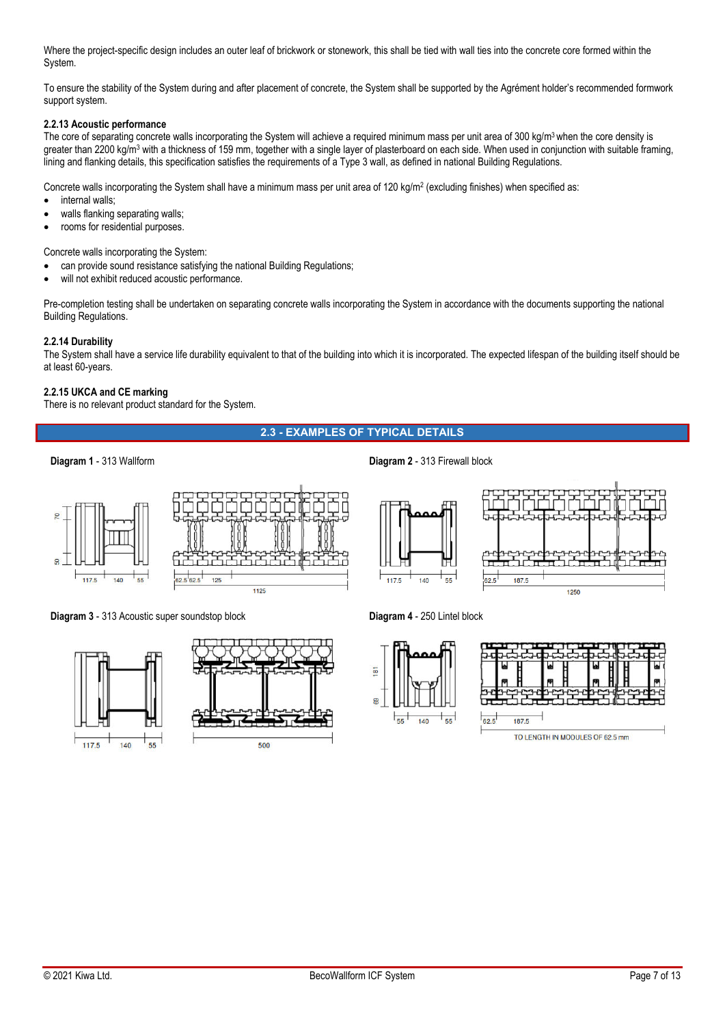Where the project-specific design includes an outer leaf of brickwork or stonework, this shall be tied with wall ties into the concrete core formed within the System.

To ensure the stability of the System during and after placement of concrete, the System shall be supported by the Agrément holder's recommended formwork support system.

### **2.2.13 Acoustic performance**

The core of separating concrete walls incorporating the System will achieve a required minimum mass per unit area of 300 kg/m<sup>3</sup> when the core density is greater than 2200 kg/m<sup>3</sup> with a thickness of 159 mm, together with a single layer of plasterboard on each side. When used in conjunction with suitable framing, lining and flanking details, this specification satisfies the requirements of a Type 3 wall, as defined in national Building Regulations.

Concrete walls incorporating the System shall have a minimum mass per unit area of 120 kg/m<sup>2</sup> (excluding finishes) when specified as:

- internal walls;
- walls flanking separating walls;
- rooms for residential purposes.

Concrete walls incorporating the System:

- can provide sound resistance satisfying the national Building Regulations;
- will not exhibit reduced acoustic performance.

Pre-completion testing shall be undertaken on separating concrete walls incorporating the System in accordance with the documents supporting the national Building Regulations.

### **2.2.14 Durability**

The System shall have a service life durability equivalent to that of the building into which it is incorporated. The expected lifespan of the building itself should be at least 60-years.

#### **2.2.15 UKCA and CE marking**

There is no relevant product standard for the System.

## **2.3 - EXAMPLES OF TYPICAL DETAILS**

 $117.5$ 



**Diagram 3** - 313 Acoustic super soundstop block **Diagram 4** - 250 Lintel block



**Diagram 1** - 313 Wallform **1. 2008 Diagram 2** - 313 Firewall block







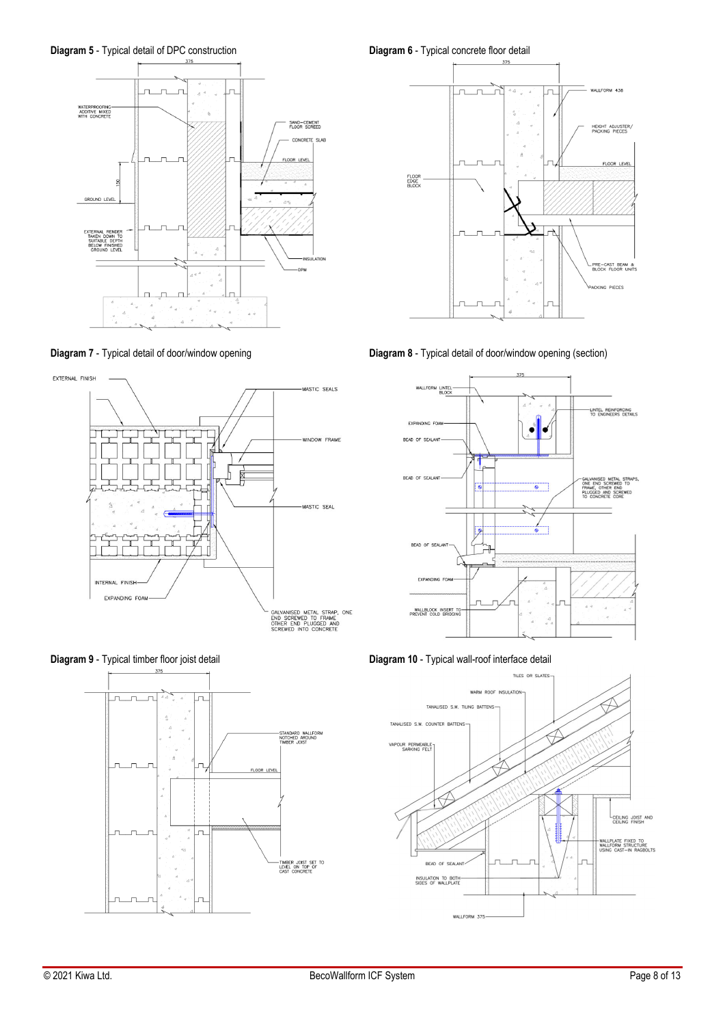**Diagram 5** - Typical detail of DPC construction **Diagram 6** - Typical concrete floor detail











**Diagram 7** - Typical detail of door/window opening **Diagram 8** - Typical detail of door/window opening (section)



**Diagram 9** - Typical timber floor joist detail **Diagram 10** - Typical wall-roof interface detail

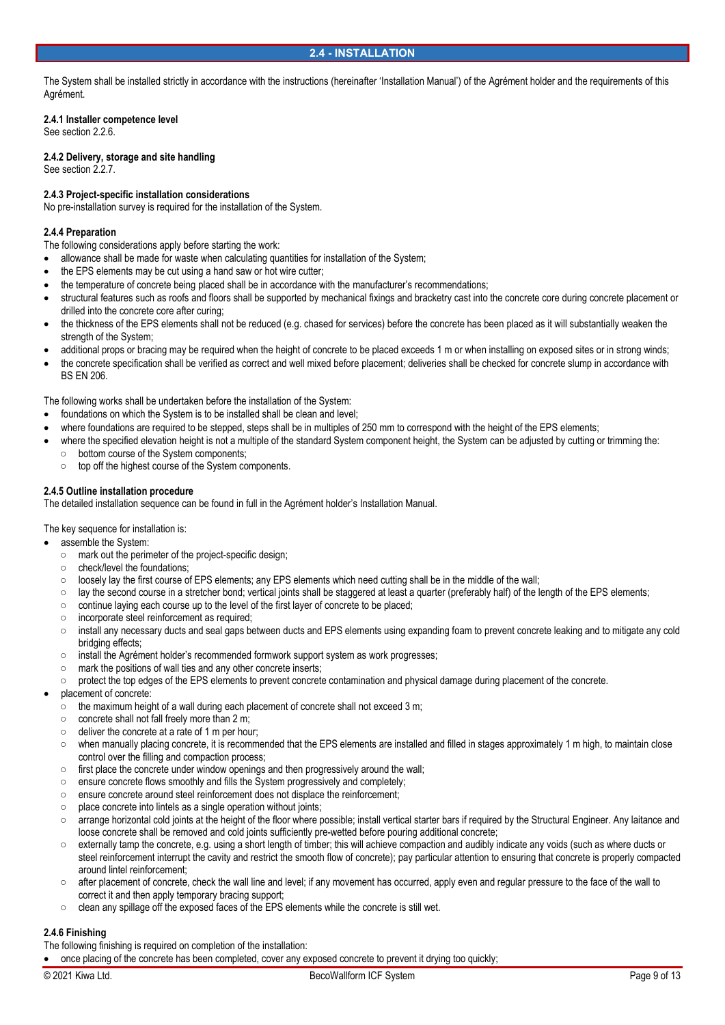The System shall be installed strictly in accordance with the instructions (hereinafter 'Installation Manual') of the Agrément holder and the requirements of this Agrément.

## **2.4.1 Installer competence level**

See section 2.2.6.

**2.4.2 Delivery, storage and site handling**  See section 2.2.7.

## **2.4.3 Project-specific installation considerations**

No pre-installation survey is required for the installation of the System.

## **2.4.4 Preparation**

The following considerations apply before starting the work:

- allowance shall be made for waste when calculating quantities for installation of the System;
- the EPS elements may be cut using a hand saw or hot wire cutter;
- the temperature of concrete being placed shall be in accordance with the manufacturer's recommendations;
- structural features such as roofs and floors shall be supported by mechanical fixings and bracketry cast into the concrete core during concrete placement or drilled into the concrete core after curing;
- the thickness of the EPS elements shall not be reduced (e.g. chased for services) before the concrete has been placed as it will substantially weaken the strength of the System;
- additional props or bracing may be required when the height of concrete to be placed exceeds 1 m or when installing on exposed sites or in strong winds;
- the concrete specification shall be verified as correct and well mixed before placement; deliveries shall be checked for concrete slump in accordance with BS EN 206.

The following works shall be undertaken before the installation of the System:

- foundations on which the System is to be installed shall be clean and level;
- where foundations are required to be stepped, steps shall be in multiples of 250 mm to correspond with the height of the EPS elements;
- where the specified elevation height is not a multiple of the standard System component height, the System can be adjusted by cutting or trimming the:
	- bottom course of the System components;
	- top off the highest course of the System components.

#### **2.4.5 Outline installation procedure**

The detailed installation sequence can be found in full in the Agrément holder's Installation Manual.

The key sequence for installation is:

- assemble the System:
	- mark out the perimeter of the project-specific design;
	- check/level the foundations;
	- loosely lay the first course of EPS elements; any EPS elements which need cutting shall be in the middle of the wall;
	- lay the second course in a stretcher bond; vertical joints shall be staggered at least a quarter (preferably half) of the length of the EPS elements;
	- continue laying each course up to the level of the first layer of concrete to be placed;
	- incorporate steel reinforcement as required;
	- install any necessary ducts and seal gaps between ducts and EPS elements using expanding foam to prevent concrete leaking and to mitigate any cold bridging effects;
	- install the Agrément holder's recommended formwork support system as work progresses;
	- mark the positions of wall ties and any other concrete inserts;
	- protect the top edges of the EPS elements to prevent concrete contamination and physical damage during placement of the concrete.
- placement of concrete:
	- the maximum height of a wall during each placement of concrete shall not exceed 3 m;
	- concrete shall not fall freely more than 2 m;
	- deliver the concrete at a rate of 1 m per hour;
	- when manually placing concrete, it is recommended that the EPS elements are installed and filled in stages approximately 1 m high, to maintain close control over the filling and compaction process;
	- first place the concrete under window openings and then progressively around the wall;
	- ensure concrete flows smoothly and fills the System progressively and completely;
	- ensure concrete around steel reinforcement does not displace the reinforcement;
	- place concrete into lintels as a single operation without joints;
	- arrange horizontal cold joints at the height of the floor where possible; install vertical starter bars if required by the Structural Engineer. Any laitance and loose concrete shall be removed and cold joints sufficiently pre-wetted before pouring additional concrete;
	- externally tamp the concrete, e.g. using a short length of timber; this will achieve compaction and audibly indicate any voids (such as where ducts or steel reinforcement interrupt the cavity and restrict the smooth flow of concrete); pay particular attention to ensuring that concrete is properly compacted around lintel reinforcement;
	- after placement of concrete, check the wall line and level; if any movement has occurred, apply even and regular pressure to the face of the wall to correct it and then apply temporary bracing support;
	- clean any spillage off the exposed faces of the EPS elements while the concrete is still wet.

## **2.4.6 Finishing**

The following finishing is required on completion of the installation:

once placing of the concrete has been completed, cover any exposed concrete to prevent it drying too quickly;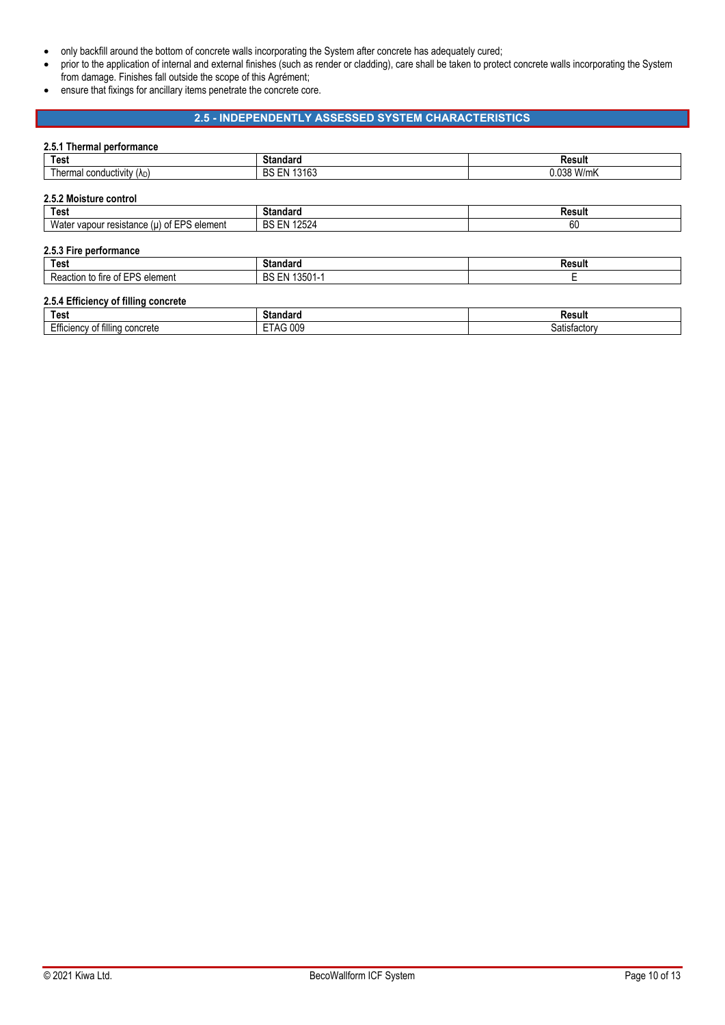- only backfill around the bottom of concrete walls incorporating the System after concrete has adequately cured;
- prior to the application of internal and external finishes (such as render or cladding), care shall be taken to protect concrete walls incorporating the System from damage. Finishes fall outside the scope of this Agrément;
- ensure that fixings for ancillary items penetrate the concrete core.

## **2.5 - INDEPENDENTLY ASSESSED SYSTEM CHARACTERISTICS**

### **2.5.1 Thermal performance**

| <b>Test</b>                                    | <b>Standard</b>    | Result     |
|------------------------------------------------|--------------------|------------|
| Thermal conductivity $(\lambda_D)$             | <b>BS EN 13163</b> | 0.038 W/mK |
|                                                |                    |            |
| 2.5.2 Moisture control                         |                    |            |
| Test                                           | <b>Standard</b>    | Result     |
| Water vapour resistance $(\mu)$ of EPS element | <b>BS EN 12524</b> | 60         |
|                                                |                    |            |
| 2.5.3 Fire performance                         |                    |            |
| <b>Test</b>                                    | <b>Standard</b>    | Result     |
| Reaction to fire of EPS element                | BS EN 13501-1      | Е          |

| Test                                                         | .<br>.<br>әмн<br>liual:              | Result                        |
|--------------------------------------------------------------|--------------------------------------|-------------------------------|
| $ \epsilon$<br><br>≏oncrete<br>lenc<br>fillinc<br>Ettic<br>u | $- -$<br>009<br>$^{\circ}$ A<br>אי - | ------<br>.or<br>הר.<br>שופי. |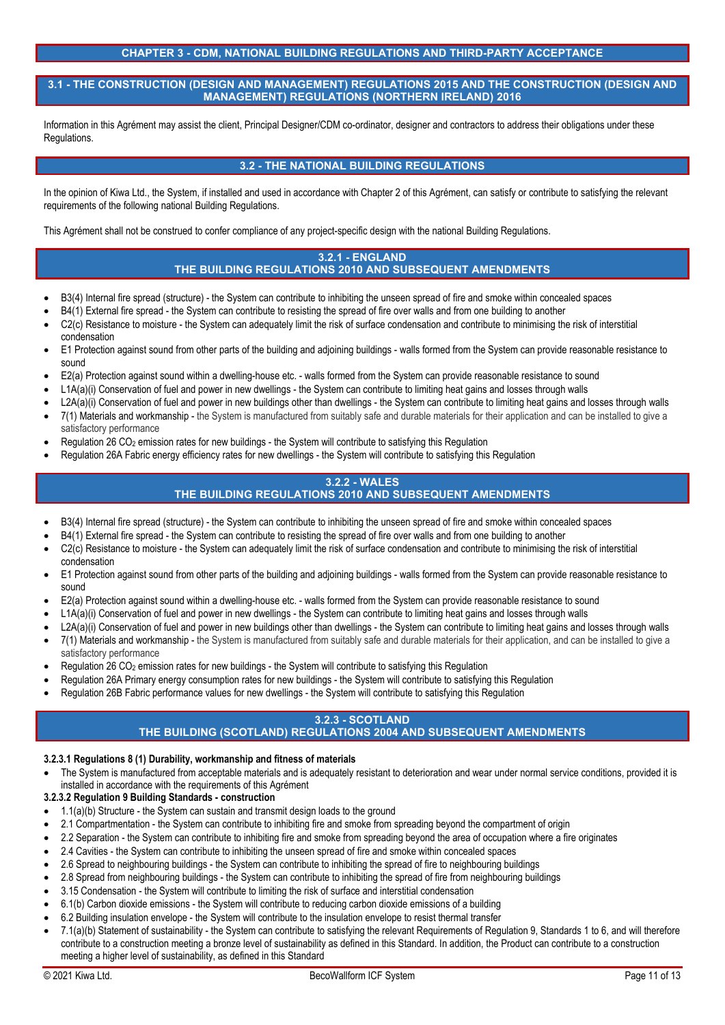## **CHAPTER 3 - CDM, NATIONAL BUILDING REGULATIONS AND THIRD-PARTY ACCEPTANCE**

**3.1 - THE CONSTRUCTION (DESIGN AND MANAGEMENT) REGULATIONS 2015 AND THE CONSTRUCTION (DESIGN AND MANAGEMENT) REGULATIONS (NORTHERN IRELAND) 2016** 

Information in this Agrément may assist the client, Principal Designer/CDM co-ordinator, designer and contractors to address their obligations under these Regulations.

## **3.2 - THE NATIONAL BUILDING REGULATIONS**

In the opinion of Kiwa Ltd., the System, if installed and used in accordance with Chapter 2 of this Agrément, can satisfy or contribute to satisfying the relevant requirements of the following national Building Regulations.

This Agrément shall not be construed to confer compliance of any project-specific design with the national Building Regulations.

### **3.2.1 - ENGLAND THE BUILDING REGULATIONS 2010 AND SUBSEQUENT AMENDMENTS**

- B3(4) Internal fire spread (structure) the System can contribute to inhibiting the unseen spread of fire and smoke within concealed spaces
- B4(1) External fire spread the System can contribute to resisting the spread of fire over walls and from one building to another
- C2(c) Resistance to moisture the System can adequately limit the risk of surface condensation and contribute to minimising the risk of interstitial condensation
- E1 Protection against sound from other parts of the building and adjoining buildings walls formed from the System can provide reasonable resistance to sound
- E2(a) Protection against sound within a dwelling-house etc. walls formed from the System can provide reasonable resistance to sound
- L1A(a)(i) Conservation of fuel and power in new dwellings the System can contribute to limiting heat gains and losses through walls
- L2A(a)(i) Conservation of fuel and power in new buildings other than dwellings the System can contribute to limiting heat gains and losses through walls
- 7(1) Materials and workmanship the System is manufactured from suitably safe and durable materials for their application and can be installed to give a satisfactory performance
- Regulation 26 CO2 emission rates for new buildings the System will contribute to satisfying this Regulation
- Regulation 26A Fabric energy efficiency rates for new dwellings the System will contribute to satisfying this Regulation

## **3.2.2 - WALES**

# **THE BUILDING REGULATIONS 2010 AND SUBSEQUENT AMENDMENTS**

- B3(4) Internal fire spread (structure) the System can contribute to inhibiting the unseen spread of fire and smoke within concealed spaces
- B4(1) External fire spread the System can contribute to resisting the spread of fire over walls and from one building to another
- C2(c) Resistance to moisture the System can adequately limit the risk of surface condensation and contribute to minimising the risk of interstitial condensation
- E1 Protection against sound from other parts of the building and adjoining buildings walls formed from the System can provide reasonable resistance to sound
- E2(a) Protection against sound within a dwelling-house etc. walls formed from the System can provide reasonable resistance to sound
- L1A(a)(i) Conservation of fuel and power in new dwellings the System can contribute to limiting heat gains and losses through walls
- L2A(a)(i) Conservation of fuel and power in new buildings other than dwellings the System can contribute to limiting heat gains and losses through walls
- 7(1) Materials and workmanship the System is manufactured from suitably safe and durable materials for their application, and can be installed to give a satisfactory performance
- Regulation 26 CO2 emission rates for new buildings the System will contribute to satisfying this Regulation
- Regulation 26A Primary energy consumption rates for new buildings the System will contribute to satisfying this Regulation
- Regulation 26B Fabric performance values for new dwellings the System will contribute to satisfying this Regulation

## **3.2.3 - SCOTLAND**

## **THE BUILDING (SCOTLAND) REGULATIONS 2004 AND SUBSEQUENT AMENDMENTS**

## **3.2.3.1 Regulations 8 (1) Durability, workmanship and fitness of materials**

 The System is manufactured from acceptable materials and is adequately resistant to deterioration and wear under normal service conditions, provided it is installed in accordance with the requirements of this Agrément

## **3.2.3.2 Regulation 9 Building Standards - construction**

- 1.1(a)(b) Structure the System can sustain and transmit design loads to the ground
- 2.1 Compartmentation the System can contribute to inhibiting fire and smoke from spreading beyond the compartment of origin
- 2.2 Separation the System can contribute to inhibiting fire and smoke from spreading beyond the area of occupation where a fire originates
- 2.4 Cavities the System can contribute to inhibiting the unseen spread of fire and smoke within concealed spaces
- 2.6 Spread to neighbouring buildings the System can contribute to inhibiting the spread of fire to neighbouring buildings
- 2.8 Spread from neighbouring buildings the System can contribute to inhibiting the spread of fire from neighbouring buildings
- 3.15 Condensation the System will contribute to limiting the risk of surface and interstitial condensation
- 6.1(b) Carbon dioxide emissions the System will contribute to reducing carbon dioxide emissions of a building
- 6.2 Building insulation envelope the System will contribute to the insulation envelope to resist thermal transfer
- 7.1(a)(b) Statement of sustainability the System can contribute to satisfying the relevant Requirements of Regulation 9, Standards 1 to 6, and will therefore contribute to a construction meeting a bronze level of sustainability as defined in this Standard. In addition, the Product can contribute to a construction meeting a higher level of sustainability, as defined in this Standard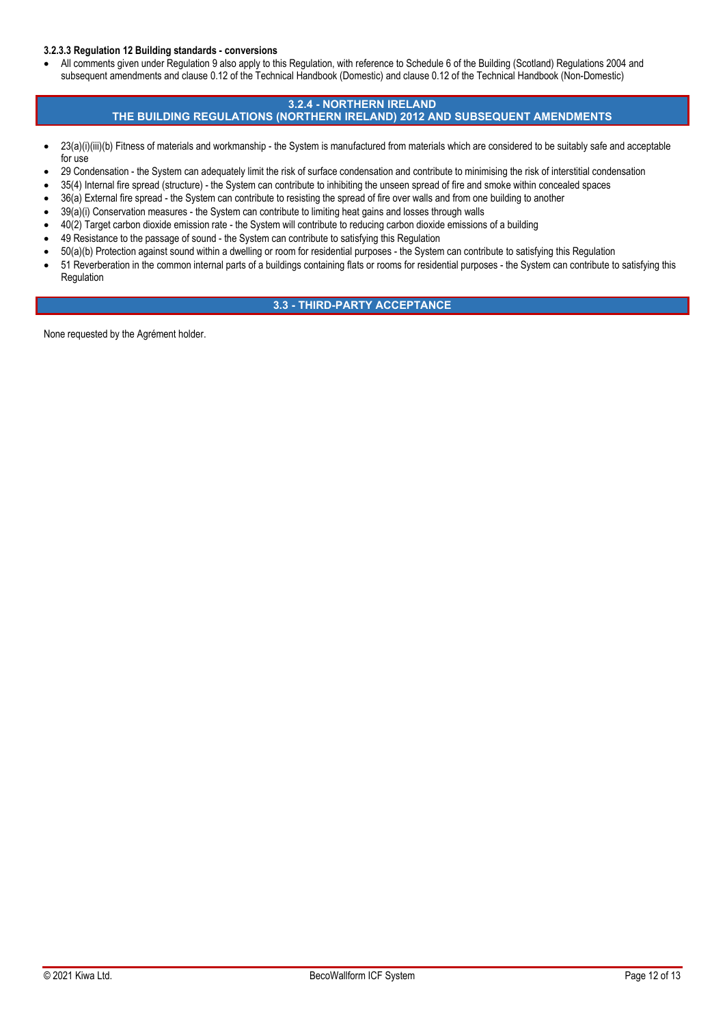## **3.2.3.3 Regulation 12 Building standards - conversions**

• All comments given under Regulation 9 also apply to this Regulation, with reference to Schedule 6 of the Building (Scotland) Regulations 2004 and subsequent amendments and clause 0.12 of the Technical Handbook (Domestic) and clause 0.12 of the Technical Handbook (Non-Domestic)

## **3.2.4 - NORTHERN IRELAND THE BUILDING REGULATIONS (NORTHERN IRELAND) 2012 AND SUBSEQUENT AMENDMENTS**

- 23(a)(i)(iii)(b) Fitness of materials and workmanship the System is manufactured from materials which are considered to be suitably safe and acceptable for use
- 29 Condensation the System can adequately limit the risk of surface condensation and contribute to minimising the risk of interstitial condensation
- 35(4) Internal fire spread (structure) the System can contribute to inhibiting the unseen spread of fire and smoke within concealed spaces
- 36(a) External fire spread the System can contribute to resisting the spread of fire over walls and from one building to another
- 39(a)(i) Conservation measures the System can contribute to limiting heat gains and losses through walls
- 40(2) Target carbon dioxide emission rate the System will contribute to reducing carbon dioxide emissions of a building
- 49 Resistance to the passage of sound the System can contribute to satisfying this Regulation
- 50(a)(b) Protection against sound within a dwelling or room for residential purposes the System can contribute to satisfying this Regulation
- 51 Reverberation in the common internal parts of a buildings containing flats or rooms for residential purposes the System can contribute to satisfying this Regulation

## **3.3 - THIRD-PARTY ACCEPTANCE**

None requested by the Agrément holder.